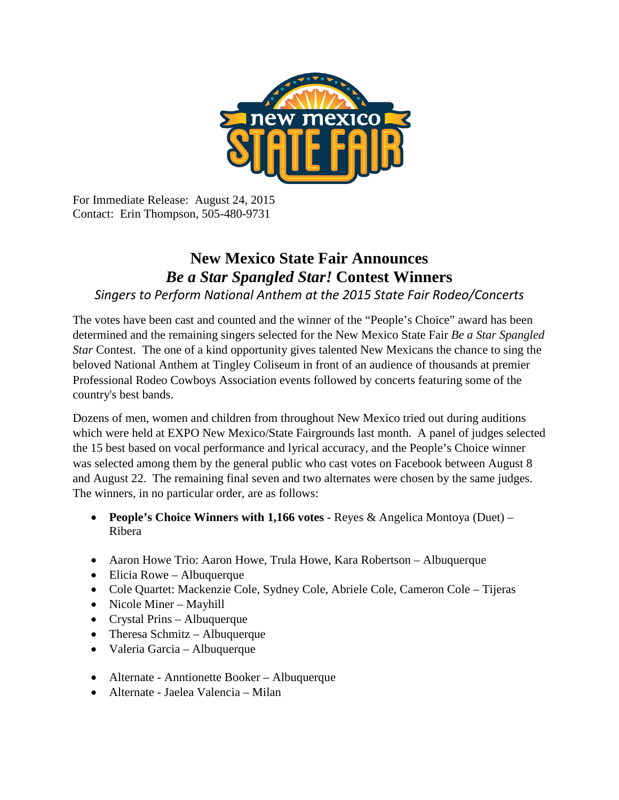

For Immediate Release: August 24, 2015 Contact: Erin Thompson, 505-480-9731

## **New Mexico State Fair Announces**  *Be a Star Spangled Star!* **Contest Winners**

## *Singers to Perform National Anthem at the 2015 State Fair Rodeo/Concerts*

The votes have been cast and counted and the winner of the "People's Choice" award has been determined and the remaining singers selected for the New Mexico State Fair *Be a Star Spangled Star* Contest. The one of a kind opportunity gives talented New Mexicans the chance to sing the beloved National Anthem at Tingley Coliseum in front of an audience of thousands at premier Professional Rodeo Cowboys Association events followed by concerts featuring some of the country's best bands.

Dozens of men, women and children from throughout New Mexico tried out during auditions which were held at EXPO New Mexico/State Fairgrounds last month. A panel of judges selected the 15 best based on vocal performance and lyrical accuracy, and the People's Choice winner was selected among them by the general public who cast votes on Facebook between August 8 and August 22. The remaining final seven and two alternates were chosen by the same judges. The winners, in no particular order, are as follows:

- **People's Choice Winners with 1,166 votes**  Reyes & Angelica Montoya (Duet) Ribera
- Aaron Howe Trio: Aaron Howe, Trula Howe, Kara Robertson Albuquerque
- Elicia Rowe Albuquerque
- Cole Quartet: Mackenzie Cole, Sydney Cole, Abriele Cole, Cameron Cole Tijeras
- Nicole Miner Mayhill
- Crystal Prins Albuquerque
- Theresa Schmitz Albuquerque
- Valeria Garcia Albuquerque
- Alternate Anntionette Booker Albuquerque
- Alternate Jaelea Valencia Milan